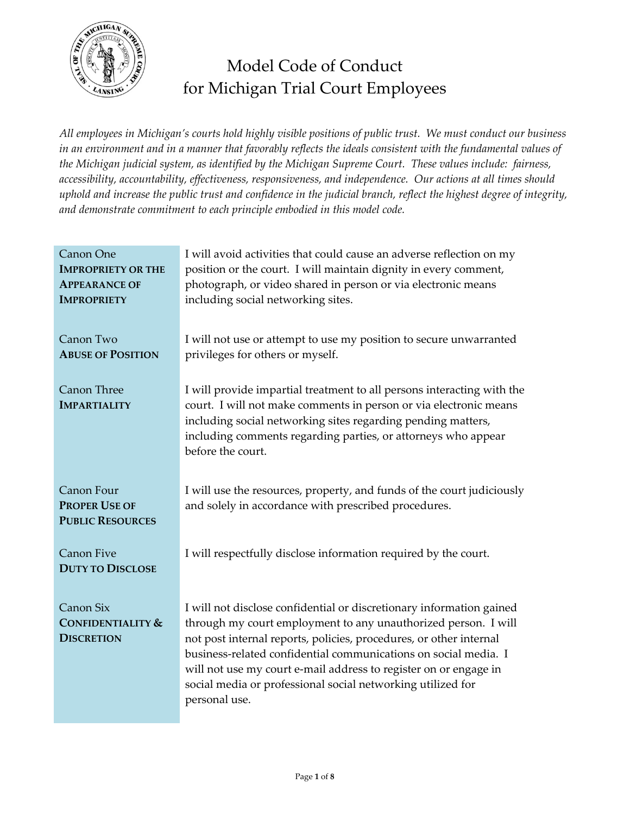

# Model Code of Conduct for Michigan Trial Court Employees

*All employees in Michigan's courts hold highly visible positions of public trust. We must conduct our business in an environment and in a manner that favorably reflects the ideals consistent with the fundamental values of the Michigan judicial system, as identified by the Michigan Supreme Court. These values include: fairness, accessibility, accountability, effectiveness, responsiveness, and independence. Our actions at all times should uphold and increase the public trust and confidence in the judicial branch, reflect the highest degree of integrity, and demonstrate commitment to each principle embodied in this model code.*

| Canon One<br><b>IMPROPRIETY OR THE</b><br><b>APPEARANCE OF</b><br><b>IMPROPRIETY</b> | I will avoid activities that could cause an adverse reflection on my<br>position or the court. I will maintain dignity in every comment,<br>photograph, or video shared in person or via electronic means<br>including social networking sites.                                                                                                                                                                                     |
|--------------------------------------------------------------------------------------|-------------------------------------------------------------------------------------------------------------------------------------------------------------------------------------------------------------------------------------------------------------------------------------------------------------------------------------------------------------------------------------------------------------------------------------|
| Canon Two<br><b>ABUSE OF POSITION</b>                                                | I will not use or attempt to use my position to secure unwarranted<br>privileges for others or myself.                                                                                                                                                                                                                                                                                                                              |
| Canon Three<br><b>IMPARTIALITY</b>                                                   | I will provide impartial treatment to all persons interacting with the<br>court. I will not make comments in person or via electronic means<br>including social networking sites regarding pending matters,<br>including comments regarding parties, or attorneys who appear<br>before the court.                                                                                                                                   |
| Canon Four<br><b>PROPER USE OF</b><br><b>PUBLIC RESOURCES</b>                        | I will use the resources, property, and funds of the court judiciously<br>and solely in accordance with prescribed procedures.                                                                                                                                                                                                                                                                                                      |
| <b>Canon Five</b><br><b>DUTY TO DISCLOSE</b>                                         | I will respectfully disclose information required by the court.                                                                                                                                                                                                                                                                                                                                                                     |
| Canon Six<br><b>CONFIDENTIALITY &amp;</b><br><b>DISCRETION</b>                       | I will not disclose confidential or discretionary information gained<br>through my court employment to any unauthorized person. I will<br>not post internal reports, policies, procedures, or other internal<br>business-related confidential communications on social media. I<br>will not use my court e-mail address to register on or engage in<br>social media or professional social networking utilized for<br>personal use. |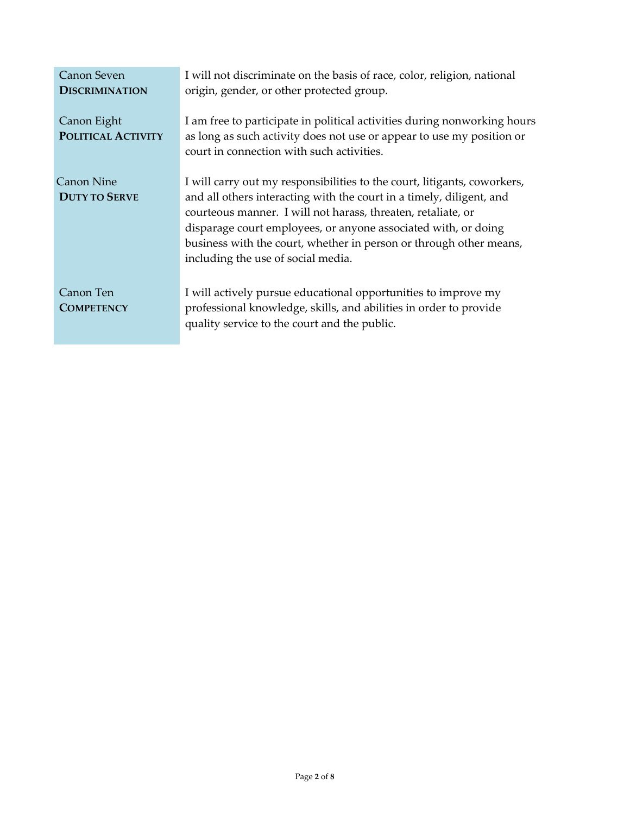| <b>Canon Seven</b><br><b>DISCRIMINATION</b> | I will not discriminate on the basis of race, color, religion, national<br>origin, gender, or other protected group.                                                                                                                                                                                                                                                                           |
|---------------------------------------------|------------------------------------------------------------------------------------------------------------------------------------------------------------------------------------------------------------------------------------------------------------------------------------------------------------------------------------------------------------------------------------------------|
| Canon Eight<br><b>POLITICAL ACTIVITY</b>    | I am free to participate in political activities during nonworking hours<br>as long as such activity does not use or appear to use my position or<br>court in connection with such activities.                                                                                                                                                                                                 |
| <b>Canon Nine</b><br><b>DUTY TO SERVE</b>   | I will carry out my responsibilities to the court, litigants, coworkers,<br>and all others interacting with the court in a timely, diligent, and<br>courteous manner. I will not harass, threaten, retaliate, or<br>disparage court employees, or anyone associated with, or doing<br>business with the court, whether in person or through other means,<br>including the use of social media. |
| Canon Ten<br><b>COMPETENCY</b>              | I will actively pursue educational opportunities to improve my<br>professional knowledge, skills, and abilities in order to provide<br>quality service to the court and the public.                                                                                                                                                                                                            |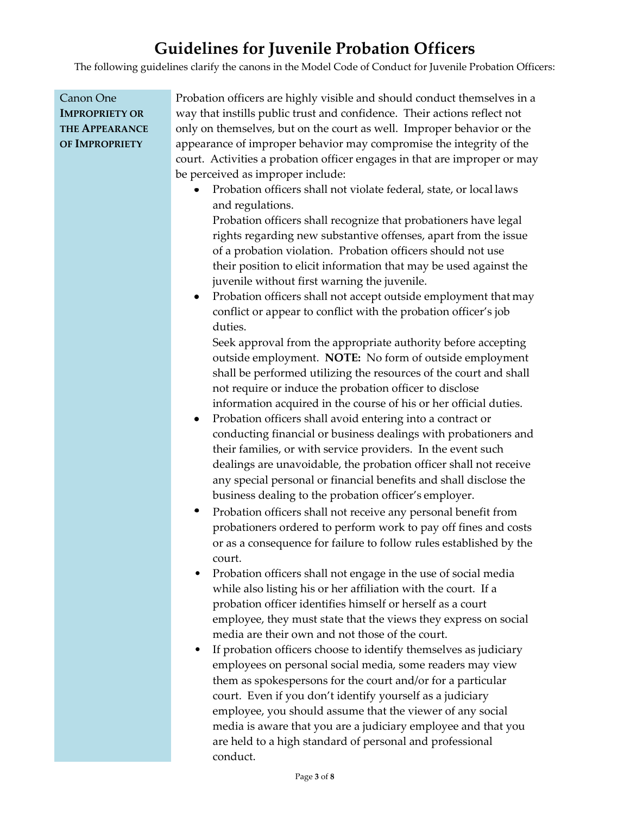## **Guidelines for Juvenile Probation Officers**

The following guidelines clarify the canons in the Model Code of Conduct for Juvenile Probation Officers:

| Canon One             | Probation officers are highly visible and should conduct themselves in a      |
|-----------------------|-------------------------------------------------------------------------------|
| <b>IMPROPRIETY OR</b> | way that instills public trust and confidence. Their actions reflect not      |
| <b>THE APPEARANCE</b> | only on themselves, but on the court as well. Improper behavior or the        |
| OF IMPROPRIETY        | appearance of improper behavior may compromise the integrity of the           |
|                       | court. Activities a probation officer engages in that are improper or may     |
|                       | be perceived as improper include:                                             |
|                       | Probation officers shall not violate federal, state, or local laws            |
|                       | and regulations.                                                              |
|                       | Probation officers shall recognize that probationers have legal               |
|                       | rights regarding new substantive offenses, apart from the issue               |
|                       | of a probation violation. Probation officers should not use                   |
|                       | their position to elicit information that may be used against the             |
|                       | juvenile without first warning the juvenile.                                  |
|                       | Probation officers shall not accept outside employment that may               |
|                       | conflict or appear to conflict with the probation officer's job               |
|                       | duties.                                                                       |
|                       | Seek approval from the appropriate authority before accepting                 |
|                       | outside employment. NOTE: No form of outside employment                       |
|                       | shall be performed utilizing the resources of the court and shall             |
|                       | not require or induce the probation officer to disclose                       |
|                       | information acquired in the course of his or her official duties.             |
|                       | Probation officers shall avoid entering into a contract or                    |
|                       | conducting financial or business dealings with probationers and               |
|                       | their families, or with service providers. In the event such                  |
|                       | dealings are unavoidable, the probation officer shall not receive             |
|                       | any special personal or financial benefits and shall disclose the             |
|                       | business dealing to the probation officer's employer.                         |
|                       | Probation officers shall not receive any personal benefit from<br>٠           |
|                       | probationers ordered to perform work to pay off fines and costs               |
|                       | or as a consequence for failure to follow rules established by the            |
|                       | court.                                                                        |
|                       | Probation officers shall not engage in the use of social media                |
|                       | while also listing his or her affiliation with the court. If a                |
|                       | probation officer identifies himself or herself as a court                    |
|                       | employee, they must state that the views they express on social               |
|                       | media are their own and not those of the court.                               |
|                       | If probation officers choose to identify themselves as judiciary<br>$\bullet$ |
|                       | employees on personal social media, some readers may view                     |
|                       | them as spokespersons for the court and/or for a particular                   |
|                       | court. Even if you don't identify yourself as a judiciary                     |
|                       | employee, you should assume that the viewer of any social                     |
|                       | media is aware that you are a judiciary employee and that you                 |
|                       | are held to a high standard of personal and professional                      |
|                       | conduct.                                                                      |
|                       |                                                                               |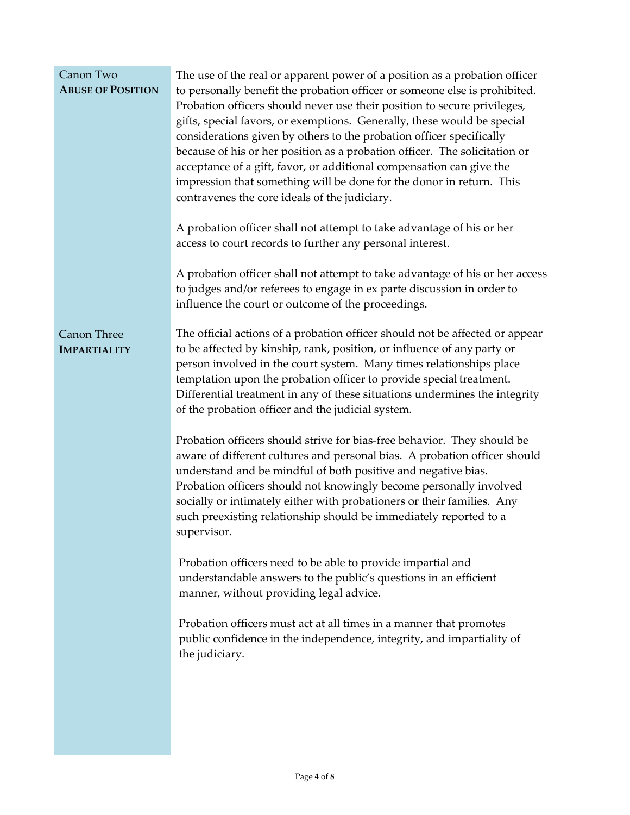| Canon Two<br><b>ABUSE OF POSITION</b> | The use of the real or apparent power of a position as a probation officer<br>to personally benefit the probation officer or someone else is prohibited.<br>Probation officers should never use their position to secure privileges,<br>gifts, special favors, or exemptions. Generally, these would be special<br>considerations given by others to the probation officer specifically<br>because of his or her position as a probation officer. The solicitation or<br>acceptance of a gift, favor, or additional compensation can give the<br>impression that something will be done for the donor in return. This<br>contravenes the core ideals of the judiciary.<br>A probation officer shall not attempt to take advantage of his or her<br>access to court records to further any personal interest.<br>A probation officer shall not attempt to take advantage of his or her access<br>to judges and/or referees to engage in ex parte discussion in order to |
|---------------------------------------|------------------------------------------------------------------------------------------------------------------------------------------------------------------------------------------------------------------------------------------------------------------------------------------------------------------------------------------------------------------------------------------------------------------------------------------------------------------------------------------------------------------------------------------------------------------------------------------------------------------------------------------------------------------------------------------------------------------------------------------------------------------------------------------------------------------------------------------------------------------------------------------------------------------------------------------------------------------------|
| Canon Three<br><b>IMPARTIALITY</b>    | influence the court or outcome of the proceedings.<br>The official actions of a probation officer should not be affected or appear<br>to be affected by kinship, rank, position, or influence of any party or<br>person involved in the court system. Many times relationships place<br>temptation upon the probation officer to provide special treatment.<br>Differential treatment in any of these situations undermines the integrity<br>of the probation officer and the judicial system.                                                                                                                                                                                                                                                                                                                                                                                                                                                                         |
|                                       | Probation officers should strive for bias-free behavior. They should be<br>aware of different cultures and personal bias. A probation officer should<br>understand and be mindful of both positive and negative bias.<br>Probation officers should not knowingly become personally involved<br>socially or intimately either with probationers or their families. Any<br>such preexisting relationship should be immediately reported to a<br>supervisor.                                                                                                                                                                                                                                                                                                                                                                                                                                                                                                              |
|                                       | Probation officers need to be able to provide impartial and<br>understandable answers to the public's questions in an efficient<br>manner, without providing legal advice.                                                                                                                                                                                                                                                                                                                                                                                                                                                                                                                                                                                                                                                                                                                                                                                             |
|                                       | Probation officers must act at all times in a manner that promotes<br>public confidence in the independence, integrity, and impartiality of<br>the judiciary.                                                                                                                                                                                                                                                                                                                                                                                                                                                                                                                                                                                                                                                                                                                                                                                                          |
|                                       |                                                                                                                                                                                                                                                                                                                                                                                                                                                                                                                                                                                                                                                                                                                                                                                                                                                                                                                                                                        |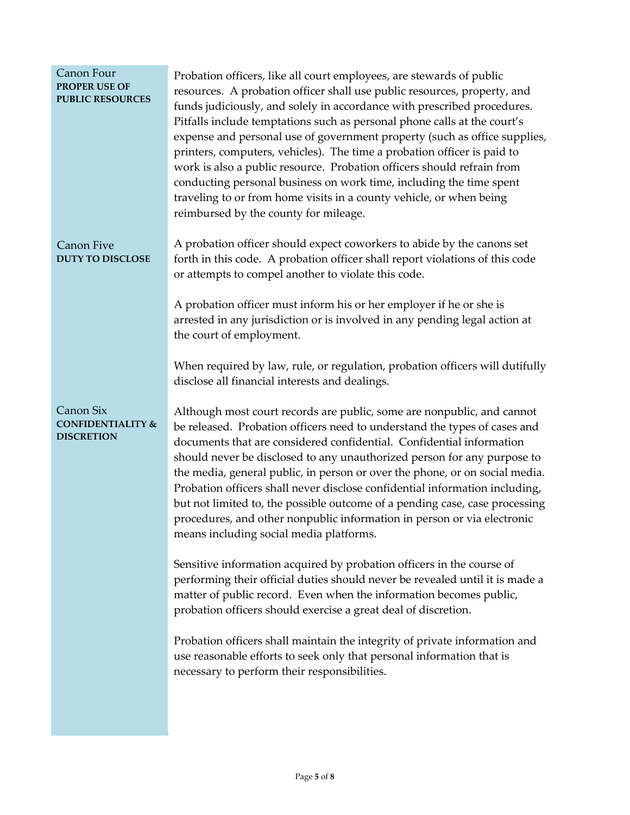| Canon Four<br><b>PROPER USE OF</b><br><b>PUBLIC RESOURCES</b>  | Probation officers, like all court employees, are stewards of public<br>resources. A probation officer shall use public resources, property, and<br>funds judiciously, and solely in accordance with prescribed procedures.<br>Pitfalls include temptations such as personal phone calls at the court's<br>expense and personal use of government property (such as office supplies,<br>printers, computers, vehicles). The time a probation officer is paid to<br>work is also a public resource. Probation officers should refrain from<br>conducting personal business on work time, including the time spent<br>traveling to or from home visits in a county vehicle, or when being<br>reimbursed by the county for mileage. |
|----------------------------------------------------------------|----------------------------------------------------------------------------------------------------------------------------------------------------------------------------------------------------------------------------------------------------------------------------------------------------------------------------------------------------------------------------------------------------------------------------------------------------------------------------------------------------------------------------------------------------------------------------------------------------------------------------------------------------------------------------------------------------------------------------------|
| Canon Five<br><b>DUTY TO DISCLOSE</b>                          | A probation officer should expect coworkers to abide by the canons set<br>forth in this code. A probation officer shall report violations of this code<br>or attempts to compel another to violate this code.                                                                                                                                                                                                                                                                                                                                                                                                                                                                                                                    |
|                                                                | A probation officer must inform his or her employer if he or she is<br>arrested in any jurisdiction or is involved in any pending legal action at<br>the court of employment.                                                                                                                                                                                                                                                                                                                                                                                                                                                                                                                                                    |
|                                                                | When required by law, rule, or regulation, probation officers will dutifully<br>disclose all financial interests and dealings.                                                                                                                                                                                                                                                                                                                                                                                                                                                                                                                                                                                                   |
| Canon Six<br><b>CONFIDENTIALITY &amp;</b><br><b>DISCRETION</b> | Although most court records are public, some are nonpublic, and cannot<br>be released. Probation officers need to understand the types of cases and<br>documents that are considered confidential. Confidential information<br>should never be disclosed to any unauthorized person for any purpose to<br>the media, general public, in person or over the phone, or on social media.<br>Probation officers shall never disclose confidential information including,<br>but not limited to, the possible outcome of a pending case, case processing<br>procedures, and other nonpublic information in person or via electronic<br>means including social media platforms.                                                        |
|                                                                | Sensitive information acquired by probation officers in the course of<br>performing their official duties should never be revealed until it is made a<br>matter of public record. Even when the information becomes public,<br>probation officers should exercise a great deal of discretion.                                                                                                                                                                                                                                                                                                                                                                                                                                    |
|                                                                | Probation officers shall maintain the integrity of private information and<br>use reasonable efforts to seek only that personal information that is<br>necessary to perform their responsibilities.                                                                                                                                                                                                                                                                                                                                                                                                                                                                                                                              |
|                                                                |                                                                                                                                                                                                                                                                                                                                                                                                                                                                                                                                                                                                                                                                                                                                  |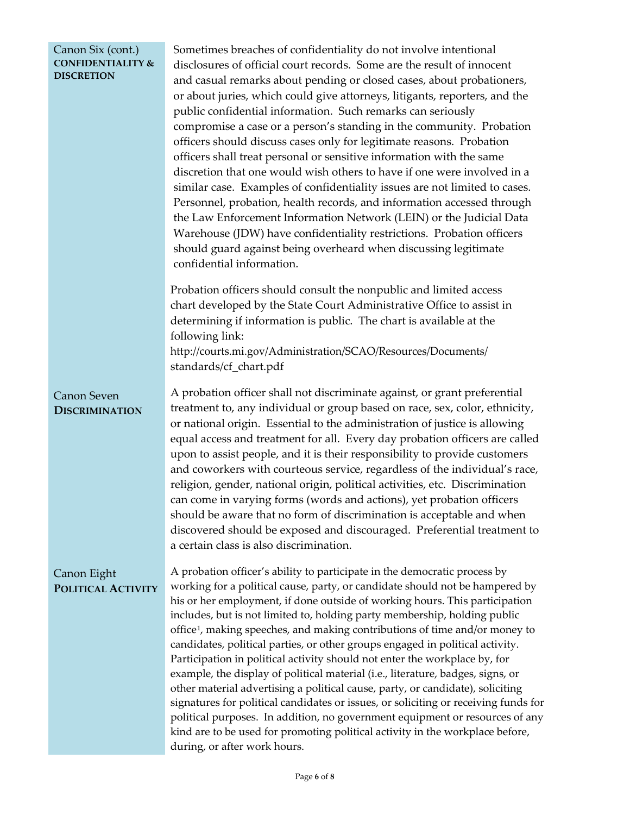#### <span id="page-5-0"></span>Canon Six (cont.) **CONFIDENTIALITY & DISCRETION**

Sometimes breaches of confidentiality do not involve intentional disclosures of official court records. Some are the result of innocent and casual remarks about pending or closed cases, about probationers, or about juries, which could give attorneys, litigants, reporters, and the public confidential information. Such remarks can seriously compromise a case or a person's standing in the community. Probation officers should discuss cases only for legitimate reasons. Probation officers shall treat personal or sensitive information with the same discretion that one would wish others to have if one were involved in a similar case. Examples of confidentiality issues are not limited to cases. Personnel, probation, health records, and information accessed through the Law Enforcement Information Network (LEIN) or the Judicial Data Warehouse (JDW) have confidentiality restrictions. Probation officers should guard against being overheard when discussing legitimate confidential information.

Probation officers should consult the nonpublic and limited access chart developed by the State Court Administrative Office to assist in determining if information is public. The chart is available at the following link: [http://courts.mi.gov/Administration/SCAO/Resources/Documents/](http://courts.mi.gov/Administration/SCAO/Resources/Documents/standards/cf_chart.pdf) 

[standards/cf\\_chart.pdf](http://courts.mi.gov/Administration/SCAO/Resources/Documents/standards/cf_chart.pdf)

#### Canon Seven **DISCRIMINATION**

A probation officer shall not discriminate against, or grant preferential treatment to, any individual or group based on race, sex, color, ethnicity, or national origin. Essential to the administration of justice is allowing equal access and treatment for all. Every day probation officers are called upon to assist people, and it is their responsibility to provide customers and coworkers with courteous service, regardless of the individual's race, religion, gender, national origin, political activities, etc. Discrimination can come in varying forms (words and actions), yet probation officers should be aware that no form of discrimination is acceptable and when discovered should be exposed and discouraged. Preferential treatment to a certain class is also discrimination.

#### Canon Eight **POLITICAL ACTIVITY**

A probation officer's ability to participate in the democratic process by working for a political cause, party, or candidate should not be hampered by his or her employment, if done outside of working hours. This participation includes, but is not limited to, holding party membership, holding public office[1,](#page-5-0) making speeches, and making contributions of time and/or money to candidates, political parties, or other groups engaged in political activity. Participation in political activity should not enter the workplace by, for example, the display of political material (i.e., literature, badges, signs, or other material advertising a political cause, party, or candidate), soliciting signatures for political candidates or issues, or soliciting or receiving funds for political purposes. In addition, no government equipment or resources of any kind are to be used for promoting political activity in the workplace before, during, or after work hours.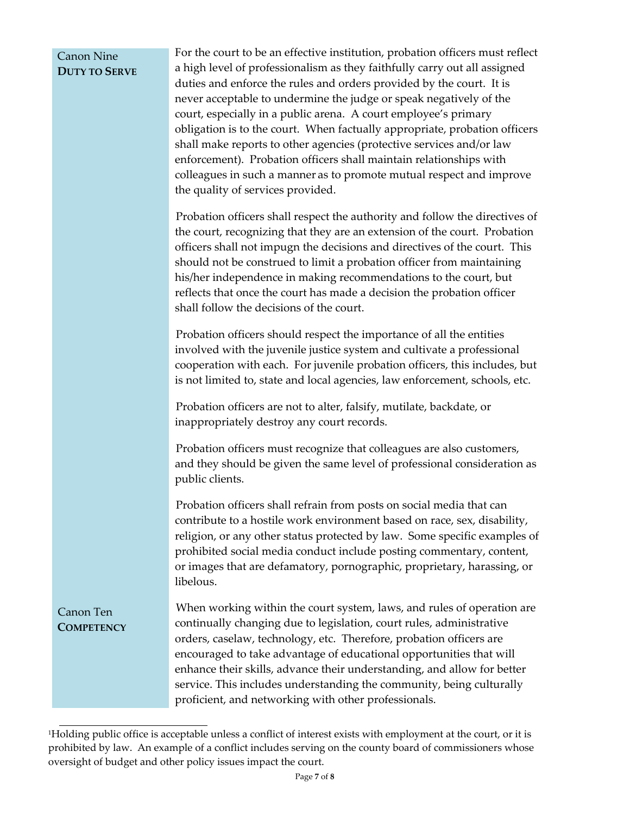### Canon Nine **DUTY TO SERVE**

For the court to be an effective institution, probation officers must reflect a high level of professionalism as they faithfully carry out all assigned duties and enforce the rules and orders provided by the court. It is never acceptable to undermine the judge or speak negatively of the court, especially in a public arena. A court employee's primary obligation is to the court. When factually appropriate, probation officers shall make reports to other agencies (protective services and/or law enforcement). Probation officers shall maintain relationships with colleagues in such a manner as to promote mutual respect and improve the quality of services provided.

Probation officers shall respect the authority and follow the directives of the court, recognizing that they are an extension of the court. Probation officers shall not impugn the decisions and directives of the court. This should not be construed to limit a probation officer from maintaining his/her independence in making recommendations to the court, but reflects that once the court has made a decision the probation officer shall follow the decisions of the court.

Probation officers should respect the importance of all the entities involved with the juvenile justice system and cultivate a professional cooperation with each. For juvenile probation officers, this includes, but is not limited to, state and local agencies, law enforcement, schools, etc.

Probation officers are not to alter, falsify, mutilate, backdate, or inappropriately destroy any court records.

Probation officers must recognize that colleagues are also customers, and they should be given the same level of professional consideration as public clients.

Probation officers shall refrain from posts on social media that can contribute to a hostile work environment based on race, sex, disability, religion, or any other status protected by law. Some specific examples of prohibited social media conduct include posting commentary, content, or images that are defamatory, pornographic, proprietary, harassing, or libelous.

When working within the court system, laws, and rules of operation are continually changing due to legislation, court rules, administrative orders, caselaw, technology, etc. Therefore, probation officers are encouraged to take advantage of educational opportunities that will enhance their skills, advance their understanding, and allow for better service. This includes understanding the community, being culturally proficient, and networking with other professionals.

Canon Ten **COMPETENCY**

<sup>1</sup>Holding public office is acceptable unless a conflict of interest exists with employment at the court, or it is prohibited by law. An example of a conflict includes serving on the county board of commissioners whose oversight of budget and other policy issues impact the court.